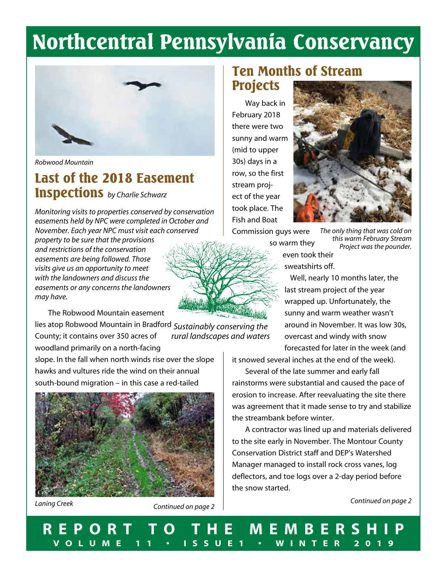# Northcentral Pennsylvania Conservancy



*Robwood Mountain*

### Last of the 2018 Easement Inspections *by Charlie Schwarz*

*Monitoring visits to properties conserved by conservation easements held by NPC were completed in October and November. Each year NPC must visit each conserved property to be sure that the provisions and restrictions of the conservation easements are being followed. Those visits give us an opportunity to meet with the landowners and discuss the easements or any concerns the landowners may have.*

The Robwood Mountain easement

lies atop Robwood Mountain in Bradford *Sustainably conserving the*  County; it contains over 350 acres of woodland primarily on a north-facing *rural landscapes and waters*

slope. In the fall when north winds rise over the slope hawks and vultures ride the wind on their annual south-bound migration – in this case a red-tailed



*Laning Creek*

*Continued on page 2*

### Ten Months of Stream Projects

Way back in February 2018 there were two sunny and warm (mid to upper 30s) days in a row, so the first stream project of the year took place. The Fish and Boat



Commission guys were

 so warm they even took their sweatshirts off.

*The only thing that was cold on this warm February Stream Project was the pounder.*

 Well, nearly 10 months later, the last stream project of the year wrapped up. Unfortunately, the sunny and warm weather wasn't around in November. It was low 30s, overcast and windy with snow forecasted for later in the week (and

it snowed several inches at the end of the week).

Several of the late summer and early fall rainstorms were substantial and caused the pace of erosion to increase. After reevaluating the site there was agreement that it made sense to try and stabilize the streambank before winter.

A contractor was lined up and materials delivered to the site early in November. The Montour County Conservation District staff and DEP's Watershed Manager managed to install rock cross vanes, log deflectors, and toe logs over a 2-day period before the snow started.

*Continued on page 2*

**REPORT TO THE MEMBERSHIP VOLUME 11 • ISSUE1 • WINTER 2019**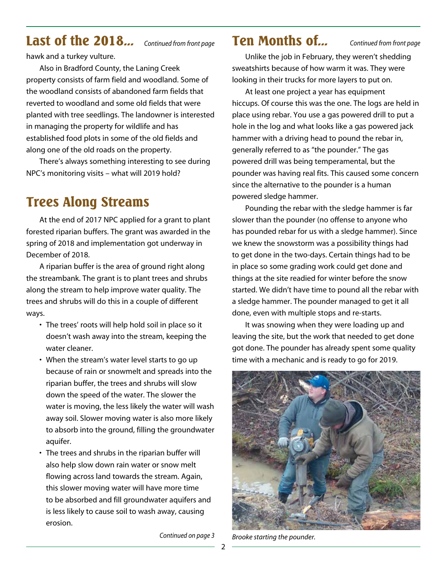## Last of the 2018... *Continued from front page* Ten Months of...

hawk and a turkey vulture.

Also in Bradford County, the Laning Creek property consists of farm field and woodland. Some of the woodland consists of abandoned farm fields that reverted to woodland and some old fields that were planted with tree seedlings. The landowner is interested in managing the property for wildlife and has established food plots in some of the old fields and along one of the old roads on the property.

There's always something interesting to see during NPC's monitoring visits – what will 2019 hold?

### Trees Along Streams

At the end of 2017 NPC applied for a grant to plant forested riparian buffers. The grant was awarded in the spring of 2018 and implementation got underway in December of 2018.

A riparian buffer is the area of ground right along the streambank. The grant is to plant trees and shrubs along the stream to help improve water quality. The trees and shrubs will do this in a couple of different ways.

- The trees' roots will help hold soil in place so it doesn't wash away into the stream, keeping the water cleaner.
- When the stream's water level starts to go up because of rain or snowmelt and spreads into the riparian buffer, the trees and shrubs will slow down the speed of the water. The slower the water is moving, the less likely the water will wash away soil. Slower moving water is also more likely to absorb into the ground, filling the groundwater aquifer.
- The trees and shrubs in the riparian buffer will also help slow down rain water or snow melt flowing across land towards the stream. Again, this slower moving water will have more time to be absorbed and fill groundwater aquifers and is less likely to cause soil to wash away, causing erosion.

*Continued on page 3*

*Continued from front page*

Unlike the job in February, they weren't shedding sweatshirts because of how warm it was. They were looking in their trucks for more layers to put on.

At least one project a year has equipment hiccups. Of course this was the one. The logs are held in place using rebar. You use a gas powered drill to put a hole in the log and what looks like a gas powered jack hammer with a driving head to pound the rebar in, generally referred to as "the pounder." The gas powered drill was being temperamental, but the pounder was having real fits. This caused some concern since the alternative to the pounder is a human powered sledge hammer.

Pounding the rebar with the sledge hammer is far slower than the pounder (no offense to anyone who has pounded rebar for us with a sledge hammer). Since we knew the snowstorm was a possibility things had to get done in the two-days. Certain things had to be in place so some grading work could get done and things at the site readied for winter before the snow started. We didn't have time to pound all the rebar with a sledge hammer. The pounder managed to get it all done, even with multiple stops and re-starts.

It was snowing when they were loading up and leaving the site, but the work that needed to get done got done. The pounder has already spent some quality time with a mechanic and is ready to go for 2019.



*Brooke starting the pounder.*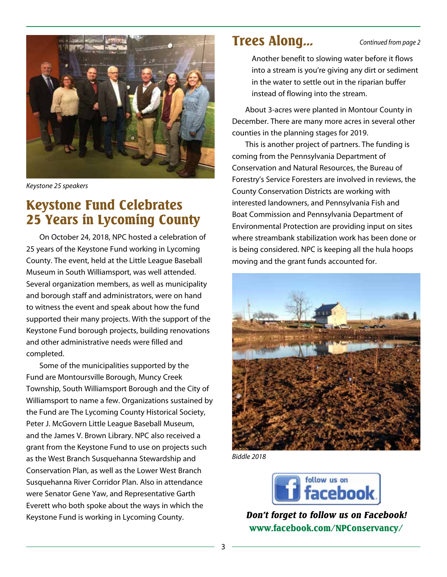

*Keystone 25 speakers*

### Keystone Fund Celebrates 25 Years in Lycoming County

On October 24, 2018, NPC hosted a celebration of 25 years of the Keystone Fund working in Lycoming County. The event, held at the Little League Baseball Museum in South Williamsport, was well attended. Several organization members, as well as municipality and borough staff and administrators, were on hand to witness the event and speak about how the fund supported their many projects. With the support of the Keystone Fund borough projects, building renovations and other administrative needs were filled and completed.

Some of the municipalities supported by the Fund are Montoursville Borough, Muncy Creek Township, South Williamsport Borough and the City of Williamsport to name a few. Organizations sustained by the Fund are The Lycoming County Historical Society, Peter J. McGovern Little League Baseball Museum, and the James V. Brown Library. NPC also received a grant from the Keystone Fund to use on projects such as the West Branch Susquehanna Stewardship and Conservation Plan, as well as the Lower West Branch Susquehanna River Corridor Plan. Also in attendance were Senator Gene Yaw, and Representative Garth Everett who both spoke about the ways in which the Keystone Fund is working in Lycoming County.

### Trees Along...

*Continued from page 2*

 Another benefit to slowing water before it flows into a stream is you're giving any dirt or sediment in the water to settle out in the riparian buffer instead of flowing into the stream.

About 3-acres were planted in Montour County in December. There are many more acres in several other counties in the planning stages for 2019.

This is another project of partners. The funding is coming from the Pennsylvania Department of Conservation and Natural Resources, the Bureau of Forestry's Service Foresters are involved in reviews, the County Conservation Districts are working with interested landowners, and Pennsylvania Fish and Boat Commission and Pennsylvania Department of Environmental Protection are providing input on sites where streambank stabilization work has been done or is being considered. NPC is keeping all the hula hoops moving and the grant funds accounted for.



*Biddle 2018*



*Don't forget to follow us on Facebook!* www.facebook.com/NPConservancy/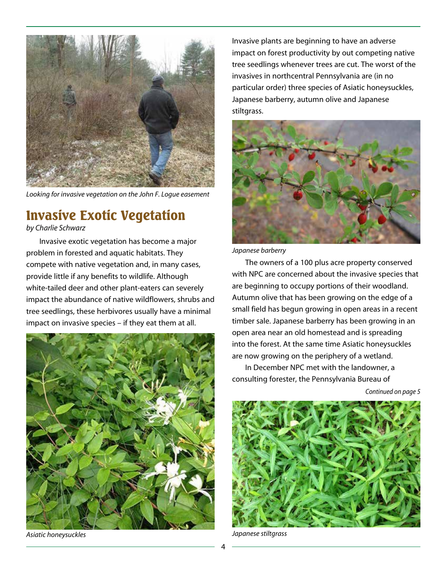

*Looking for invasive vegetation on the John F. Logue easement*

### Invasive Exotic Vegetation

*by Charlie Schwarz*

Invasive exotic vegetation has become a major problem in forested and aquatic habitats. They compete with native vegetation and, in many cases, provide little if any benefits to wildlife. Although white-tailed deer and other plant-eaters can severely impact the abundance of native wildflowers, shrubs and tree seedlings, these herbivores usually have a minimal impact on invasive species – if they eat them at all.



*Asiatic honeysuckles*

Invasive plants are beginning to have an adverse impact on forest productivity by out competing native tree seedlings whenever trees are cut. The worst of the invasives in northcentral Pennsylvania are (in no particular order) three species of Asiatic honeysuckles, Japanese barberry, autumn olive and Japanese stiltgrass.



*Japanese barberry*

The owners of a 100 plus acre property conserved with NPC are concerned about the invasive species that are beginning to occupy portions of their woodland. Autumn olive that has been growing on the edge of a small field has begun growing in open areas in a recent timber sale. Japanese barberry has been growing in an open area near an old homestead and is spreading into the forest. At the same time Asiatic honeysuckles are now growing on the periphery of a wetland.

In December NPC met with the landowner, a consulting forester, the Pennsylvania Bureau of

*Continued on page 5*



*Japanese stiltgrass*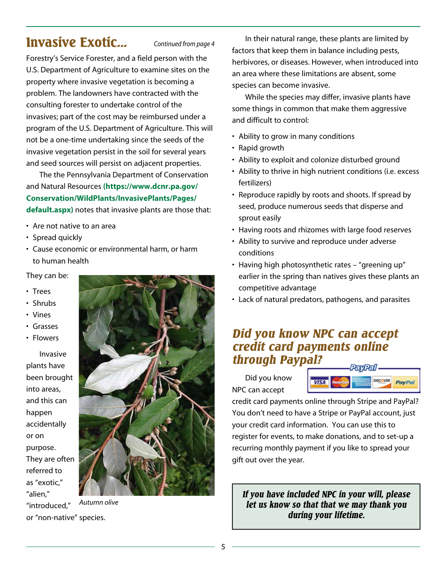### Invasive Exotic... *Continued from page 4*

Forestry's Service Forester, and a field person with the U.S. Department of Agriculture to examine sites on the property where invasive vegetation is becoming a problem. The landowners have contracted with the consulting forester to undertake control of the invasives; part of the cost may be reimbursed under a program of the U.S. Department of Agriculture. This will not be a one-time undertaking since the seeds of the invasive vegetation persist in the soil for several years and seed sources will persist on adjacent properties.

The the Pennsylvania Department of Conservation and Natural Resources **(https://www.dcnr.pa.gov/ Conservation/WildPlants/InvasivePlants/Pages/ default.aspx)** notes that invasive plants are those that:

- Are not native to an area
- Spread quickly
- Cause economic or environmental harm, or harm to human health
- They can be:
- Trees
- Shrubs
- Vines
- Grasses
- Flowers

Invasive plants have been brought into areas, and this can happen accidentally or on purpose. They are often referred to as "exotic," "alien," "introduced,"



*Autumn olive*

or "non-native" species.

In their natural range, these plants are limited by factors that keep them in balance including pests, herbivores, or diseases. However, when introduced into an area where these limitations are absent, some species can become invasive.

While the species may differ, invasive plants have some things in common that make them aggressive and difficult to control:

- Ability to grow in many conditions
- Rapid growth
- Ability to exploit and colonize disturbed ground
- Ability to thrive in high nutrient conditions (i.e. excess fertilizers)
- Reproduce rapidly by roots and shoots. If spread by seed, produce numerous seeds that disperse and sprout easily
- Having roots and rhizomes with large food reserves
- Ability to survive and reproduce under adverse conditions
- Having high photosynthetic rates "greening up" earlier in the spring than natives gives these plants an competitive advantage
- Lack of natural predators, pathogens, and parasites

### *Did you know NPC can accept credit card payments online through Paypal?*

Did you know NPC can accept



credit card payments online through Stripe and PayPal? You don't need to have a Stripe or PayPal account, just your credit card information. You can use this to register for events, to make donations, and to set-up a recurring monthly payment if you like to spread your gift out over the year.

*If you have included NPC in your will, please let us know so that that we may thank you during your lifetime.*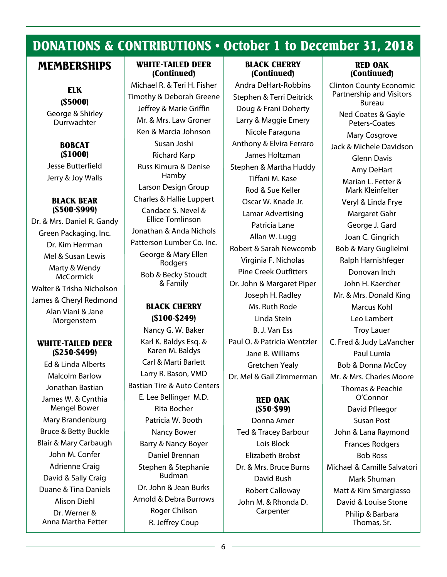### DONATIONS & CONTRIBUTIONS • October 1 to December 31, 2018

### MEMBERSHIPS

ELK (\$5000) George & Shirley **Durrwachter** 

> BOBCAT (\$1000)

Jesse Butterfield Jerry & Joy Walls

#### BLACK BEAR (\$500-\$999)

Dr. & Mrs. Daniel R. Gandy Green Packaging, Inc. Dr. Kim Herrman Mel & Susan Lewis Marty & Wendy **McCormick** Walter & Trisha Nicholson James & Cheryl Redmond Alan Viani & Jane Morgenstern

#### WHITE-TAILED DEER (\$250-\$499)

Ed & Linda Alberts Malcolm Barlow Jonathan Bastian James W. & Cynthia Mengel Bower Mary Brandenburg Bruce & Betty Buckle Blair & Mary Carbaugh John M. Confer Adrienne Craig David & Sally Craig Duane & Tina Daniels Alison Diehl Dr. Werner & Anna Martha Fetter

#### WHITE-TAILED DEER (Continued)

Michael R. & Teri H. Fisher Timothy & Deborah Greene Jeffrey & Marie Griffin Mr. & Mrs. Law Groner Ken & Marcia Johnson Susan Joshi Richard Karp Russ Kimura & Denise Hamby Larson Design Group Charles & Hallie Luppert Candace S. Nevel & Ellice Tomlinson Jonathan & Anda Nichols Patterson Lumber Co. Inc. George & Mary Ellen Rodgers Bob & Becky Stoudt & Family

#### BLACK CHERRY (\$100-\$249)

Nancy G. W. Baker Karl K. Baldys Esq. & Karen M. Baldys Carl & Marti Barlett Larry R. Bason, VMD Bastian Tire & Auto Centers E. Lee Bellinger M.D. Rita Bocher Patricia W. Booth Nancy Bower Barry & Nancy Boyer Daniel Brennan Stephen & Stephanie Budman Dr. John & Jean Burks Arnold & Debra Burrows Roger Chilson R. Jeffrey Coup

#### BLACK CHERRY (Continued)

Andra DeHart-Robbins Stephen & Terri Deitrick Doug & Frani Doherty Larry & Maggie Emery Nicole Faraguna Anthony & Elvira Ferraro James Holtzman Stephen & Martha Huddy Tiffani M. Kase Rod & Sue Keller Oscar W. Knade Jr. Lamar Advertising Patricia Lane Allan W. Lugg Robert & Sarah Newcomb Virginia F. Nicholas Pine Creek Outfitters Dr. John & Margaret Piper Joseph H. Radley Ms. Ruth Rode Linda Stein B. J. Van Ess Paul O. & Patricia Wentzler Jane B. Williams Gretchen Yealy Dr. Mel & Gail Zimmerman

#### RED OAK (\$50-\$99)

Donna Amer Ted & Tracey Barbour Lois Block Elizabeth Brobst Dr. & Mrs. Bruce Burns David Bush Robert Calloway John M. & Rhonda D. Carpenter

#### RED OAK (Continued)

Clinton County Economic Partnership and Visitors Bureau Ned Coates & Gayle Peters-Coates Mary Cosgrove Jack & Michele Davidson Glenn Davis Amy DeHart Marian L. Fetter & Mark Kleinfelter Veryl & Linda Frye Margaret Gahr George J. Gard Joan C. Gingrich Bob & Mary Guglielmi Ralph Harnishfeger Donovan Inch John H. Kaercher Mr. & Mrs. Donald King Marcus Kohl Leo Lambert Troy Lauer C. Fred & Judy LaVancher Paul Lumia Bob & Donna McCoy Mr. & Mrs. Charles Moore Thomas & Peachie O'Connor David Pfleegor Susan Post John & Lana Raymond Frances Rodgers Bob Ross Michael & Camille Salvatori Mark Shuman Matt & Kim Smargiasso David & Louise Stone Philip & Barbara Thomas, Sr.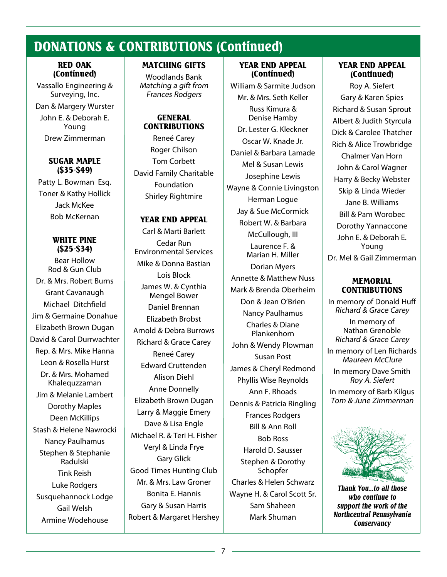### DONATIONS & CONTRIBUTIONS (Continued)

#### RED OAK (Continued)

Vassallo Engineering & Surveying, Inc. Dan & Margery Wurster John E. & Deborah E. Young Drew Zimmerman

#### SUGAR MAPLE (\$35-\$49)

Patty L. Bowman Esq. Toner & Kathy Hollick Jack McKee Bob McKernan

#### WHITE PINE (\$25-\$34)

Bear Hollow Rod & Gun Club Dr. & Mrs. Robert Burns Grant Cavanaugh Michael Ditchfield Jim & Germaine Donahue Elizabeth Brown Dugan David & Carol Durrwachter Rep. & Mrs. Mike Hanna Leon & Rosella Hurst Dr. & Mrs. Mohamed Khalequzzaman Jim & Melanie Lambert Dorothy Maples Deen McKillips Stash & Helene Nawrocki Nancy Paulhamus Stephen & Stephanie Radulski Tink Reish Luke Rodgers Susquehannock Lodge Gail Welsh Armine Wodehouse

#### MATCHING GIFTS

Woodlands Bank Matching a gift from Frances Rodgers

#### **GENERAL** CONTRIBUTIONS

Reneé Carey Roger Chilson Tom Corbett David Family Charitable Foundation Shirley Rightmire

#### YEAR END APPEAL

Carl & Marti Barlett Cedar Run Environmental Services Mike & Donna Bastian Lois Block James W. & Cynthia Mengel Bower Daniel Brennan Elizabeth Brobst Arnold & Debra Burrows Richard & Grace Carey Reneé Carey Edward Cruttenden Alison Diehl Anne Donnelly Elizabeth Brown Dugan Larry & Maggie Emery Dave & Lisa Engle Michael R. & Teri H. Fisher Veryl & Linda Frye Gary Glick Good Times Hunting Club Mr. & Mrs. Law Groner Bonita E. Hannis Gary & Susan Harris Robert & Margaret Hershey

#### YEAR END APPEAL (Continued)

William & Sarmite Judson Mr. & Mrs. Seth Keller Russ Kimura & Denise Hamby Dr. Lester G. Kleckner Oscar W. Knade Jr. Daniel & Barbara Lamade Mel & Susan Lewis Josephine Lewis Wayne & Connie Livingston Herman Logue Jay & Sue McCormick Robert W. & Barbara McCullough, III Laurence F. & Marian H. Miller Dorian Myers Annette & Matthew Nuss Mark & Brenda Oberheim Don & Jean O'Brien Nancy Paulhamus Charles & Diane Plankenhorn John & Wendy Plowman Susan Post James & Cheryl Redmond Phyllis Wise Reynolds Ann F. Rhoads Dennis & Patricia Ringling Frances Rodgers Bill & Ann Roll Bob Ross Harold D. Sausser Stephen & Dorothy **Schopfer** Charles & Helen Schwarz Wayne H. & Carol Scott Sr. Sam Shaheen Mark Shuman

#### YEAR END APPEAL (Continued)

Roy A. Siefert Gary & Karen Spies Richard & Susan Sprout Albert & Judith Styrcula Dick & Carolee Thatcher Rich & Alice Trowbridge Chalmer Van Horn John & Carol Wagner Harry & Becky Webster Skip & Linda Wieder Jane B. Williams Bill & Pam Worobec Dorothy Yannaccone John E. & Deborah E. Young Dr. Mel & Gail Zimmerman

#### **MEMORIAL** CONTRIBUTIONS

In memory of Donald Huff Richard & Grace Carey

In memory of Nathan Grenoble Richard & Grace Carey

In memory of Len Richards Maureen McClure

In memory Dave Smith Roy A. Siefert

In memory of Barb Kilgus Tom & June Zimmerman



*Thank You...to all those who continue to support the work of the Northcentral Pennsylvania Conservancy*